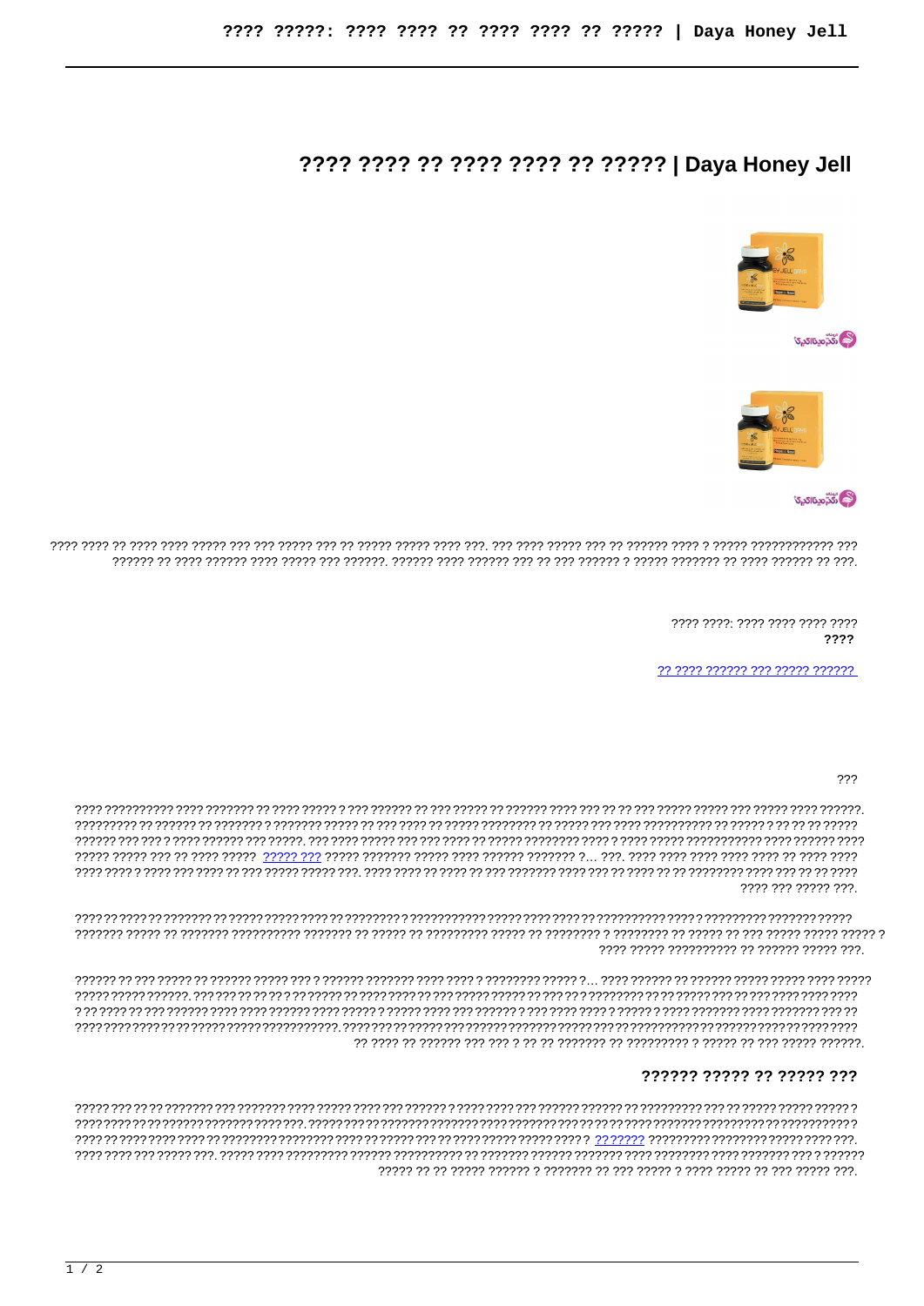# ???? ???? ?? ???? ???? ?? ????? | Daya Honey Jell



**اَنْكُرُّمِينَااكِي**رَ



**المحدّ مينااكيرى** 

> 7777 7777 7777 7777 7777 7777 ????

?? ???? ?????? ??? ????? ??????

???

???? ??? ????? ???.

7777 77777 7777777777 77 777777 77777 777.

#### ?????? ????? ?? ????? ???